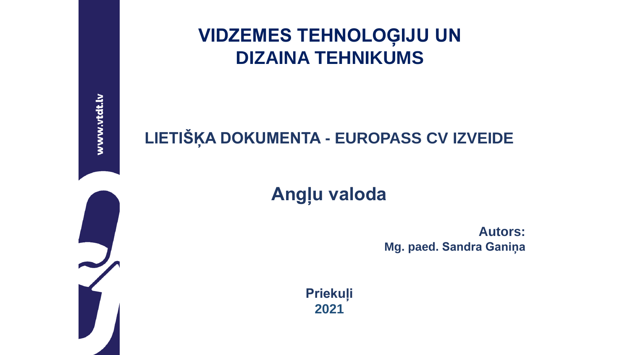www.vtdt.lv

### **VIDZEMES TEHNOLOĢIJU UN DIZAINA TEHNIKUMS**

#### **LIETIŠĶA DOKUMENTA - EUROPASS CV IZVEIDE**

#### **Angļu valoda**

**Autors: Mg. paed. Sandra Ganiņa**

**Priekuļi 2021**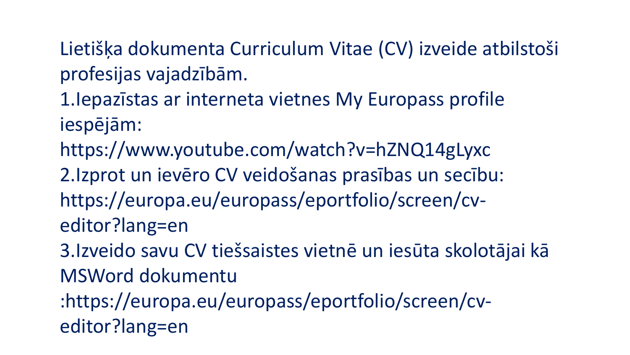Lietišķa dokumenta Curriculum Vitae (CV) izveide atbilstoši profesijas vajadzībām.

1.Iepazīstas ar interneta vietnes My Europass profile iespējām:

https://www.youtube.com/watch?v=hZNQ14gLyxc

2.Izprot un ievēro CV veidošanas prasības un secību: https://europa.eu/europass/eportfolio/screen/cveditor?lang=en

3.Izveido savu CV tiešsaistes vietnē un iesūta skolotājai kā MSWord dokumentu

:https://europa.eu/europass/eportfolio/screen/cveditor?lang=en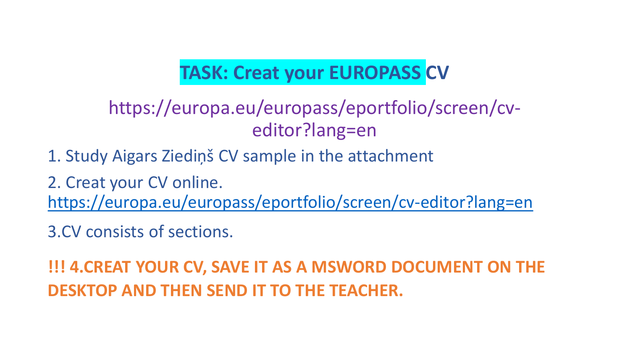### **TASK: Creat your EUROPASS CV**

### https://europa.eu/europass/eportfolio/screen/cveditor?lang=en

1. Study Aigars Ziediņš CV sample in the attachment

2. Creat your CV online. <https://europa.eu/europass/eportfolio/screen/cv-editor?lang=en>

3.CV consists of sections.

**!!! 4.CREAT YOUR CV, SAVE IT AS A MSWORD DOCUMENT ON THE DESKTOP AND THEN SEND IT TO THE TEACHER.**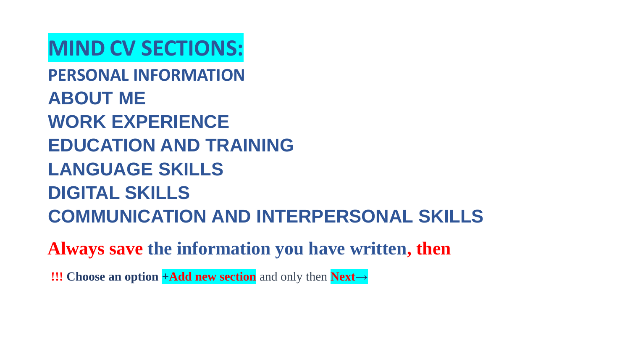## **MIND CV SECTIONS:**

**PERSONAL INFORMATION ABOUT ME WORK EXPERIENCE EDUCATION AND TRAINING LANGUAGE SKILLS DIGITAL SKILLS COMMUNICATION AND INTERPERSONAL SKILLS**

**Always save the information you have written, then**

**!!! Choose an option +Add new section** and only then **Next→**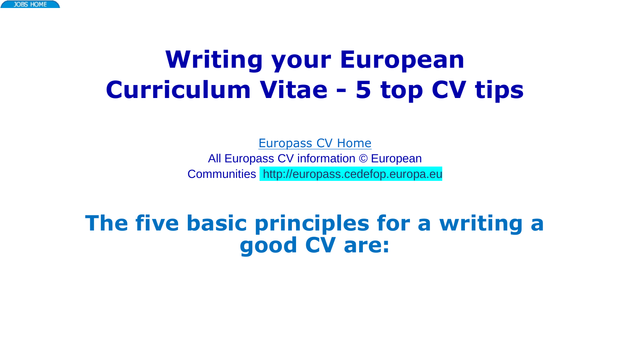# **Writing your European Curriculum Vitae - 5 top CV tips**

[Europass CV Home](https://www.europa-pages.com/jobs/europass.html) All Europass CV information © European Communities http://europass.cedefop.europa.eu

### **The five basic principles for a writing a good CV are:**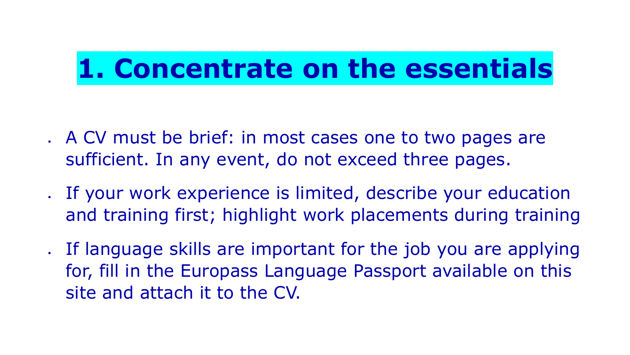# **1. Concentrate on the essentials**

- A CV must be brief: in most cases one to two pages are sufficient. In any event, do not exceed three pages.
- If your work experience is limited, describe your education and training first; highlight work placements during training
- . If language skills are important for the job you are applying for, fill in the Europass Language Passport available on this site and attach it to the CV.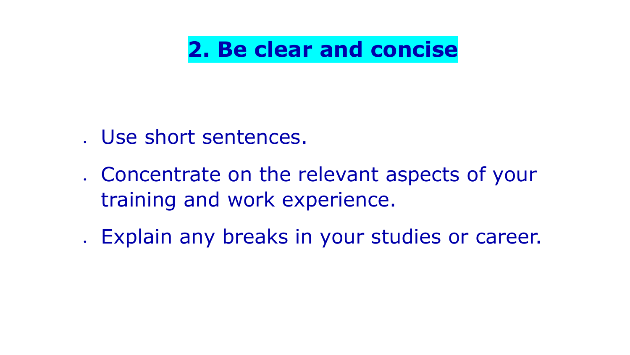**2. Be clear and concise**

- Use short sentences.
- Concentrate on the relevant aspects of your training and work experience.
- Explain any breaks in your studies or career.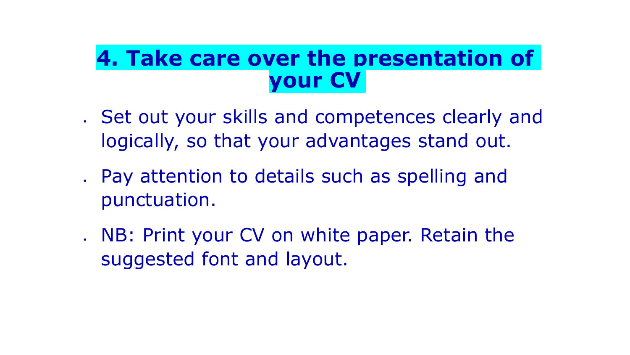## **4. Take care over the presentation of your CV**

- . Set out your skills and competences clearly and logically, so that your advantages stand out.
- Pay attention to details such as spelling and punctuation.
- . NB: Print your CV on white paper. Retain the suggested font and layout.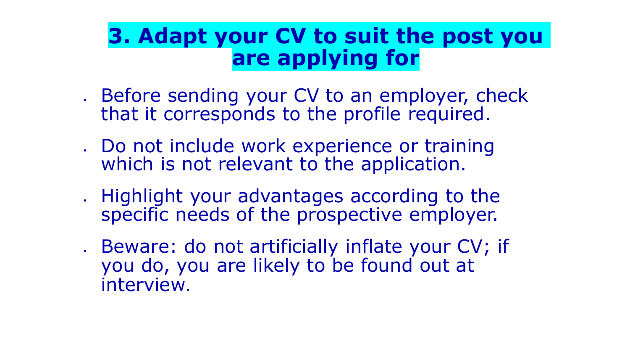## **3. Adapt your CV to suit the post you are applying for**

- Before sending your CV to an employer, check that it corresponds to the profile required.
- Do not include work experience or training which is not relevant to the application.
- . Highlight your advantages according to the specific needs of the prospective employer.
- Beware: do not artificially inflate your CV; if you do, you are likely to be found out at interview.